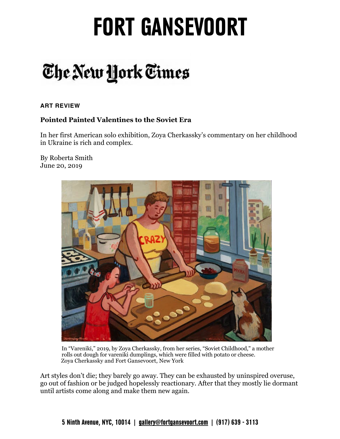### The New York Times

#### **ART REVIEW**

#### **Pointed Painted Valentines to the Soviet Era**

In her first American solo exhibition, Zoya Cherkassky's commentary on her childhood in Ukraine is rich and complex.

By Roberta Smith June 20, 2019



In "Vareniki," 2019, by Zoya Cherkassky, from her series, "Soviet Childhood," a mother rolls out dough for vareniki dumplings, which were filled with potato or cheese. Zoya Cherkassky and Fort Gansevoort, New York

 Art styles don't die; they barely go away. They can be exhausted by uninspired overuse, go out of fashion or be judged hopelessly reactionary. After that they mostly lie dormant until artists come along and make them new again.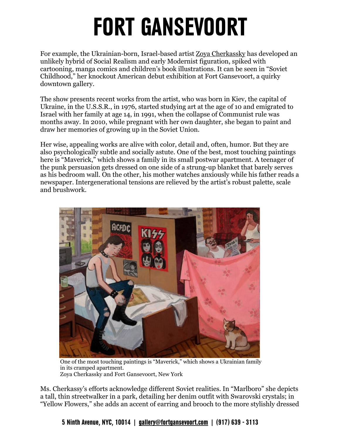For example, the Ukrainian-born, Israel-based artist Zoya Cherkassky has developed an unlikely hybrid of Social Realism and early Modernist figuration, spiked with cartooning, manga comics and children's book illustrations. It can be seen in "Soviet Childhood," her knockout American debut exhibition at Fort Gansevoort, a quirky downtown gallery.

 The show presents recent works from the artist, who was born in Kiev, the capital of Ukraine, in the U.S.S.R., in 1976, started studying art at the age of 10 and emigrated to Israel with her family at age 14, in 1991, when the collapse of Communist rule was months away. In 2010, while pregnant with her own daughter, she began to paint and draw her memories of growing up in the Soviet Union.

 Her wise, appealing works are alive with color, detail and, often, humor. But they are also psychologically subtle and socially astute. One of the best, most touching paintings here is "Maverick," which shows a family in its small postwar apartment. A teenager of the punk persuasion gets dressed on one side of a strung-up blanket that barely serves as his bedroom wall. On the other, his mother watches anxiously while his father reads a newspaper. Intergenerational tensions are relieved by the artist's robust palette, scale and brushwork.



 One of the most touching paintings is "Maverick," which shows a Ukrainian family in its cramped apartment. Zoya Cherkassky and Fort Gansevoort, New York

 Ms. Cherkassy's efforts acknowledge different Soviet realities. In "Marlboro" she depicts a tall, thin streetwalker in a park, detailing her denim outfit with Swarovski crystals; in "Yellow Flowers," she adds an accent of earring and brooch to the more stylishly dressed

**5 Ninth Avenue, NYC, 10014 | [gallery@fortgansevoort.com](mailto:gallery@fortgansevoort.com) | (917) 639 - 3113**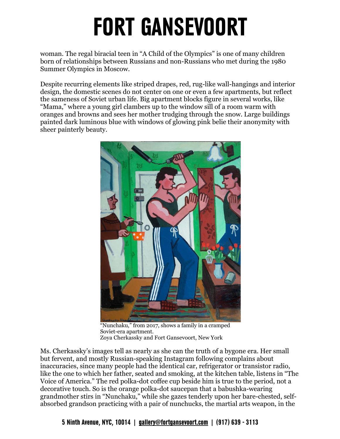woman. The regal biracial teen in "A Child of the Olympics" is one of many children born of relationships between Russians and non-Russians who met during the 1980 Summer Olympics in Moscow.

 Despite recurring elements like striped drapes, red, rug-like wall-hangings and interior design, the domestic scenes do not center on one or even a few apartments, but reflect the sameness of Soviet urban life. Big apartment blocks figure in several works, like "Mama," where a young girl clambers up to the window sill of a room warm with oranges and browns and sees her mother trudging through the snow. Large buildings painted dark luminous blue with windows of glowing pink belie their anonymity with sheer painterly beauty.



 "Nunchaku," from 2017, shows a family in a cramped Soviet-era apartment. Zoya Cherkassky and Fort Gansevoort, New York

 Ms. Cherkassky's images tell as nearly as she can the truth of a bygone era. Her small but fervent, and mostly Russian-speaking Instagram following complains about inaccuracies, since many people had the identical car, refrigerator or transistor radio, like the one to which her father, seated and smoking, at the kitchen table, listens in "The Voice of America." The red polka-dot coffee cup beside him is true to the period, not a decorative touch. So is the orange polka-dot saucepan that a babushka-wearing grandmother stirs in "Nunchaku," while she gazes tenderly upon her bare-chested, self-absorbed grandson practicing with a pair of nunchucks, the martial arts weapon, in the

**5 Ninth Avenue, NYC, 10014 | [gallery@fortgansevoort.com](mailto:gallery@fortgansevoort.com) | (917) 639 - 3113**